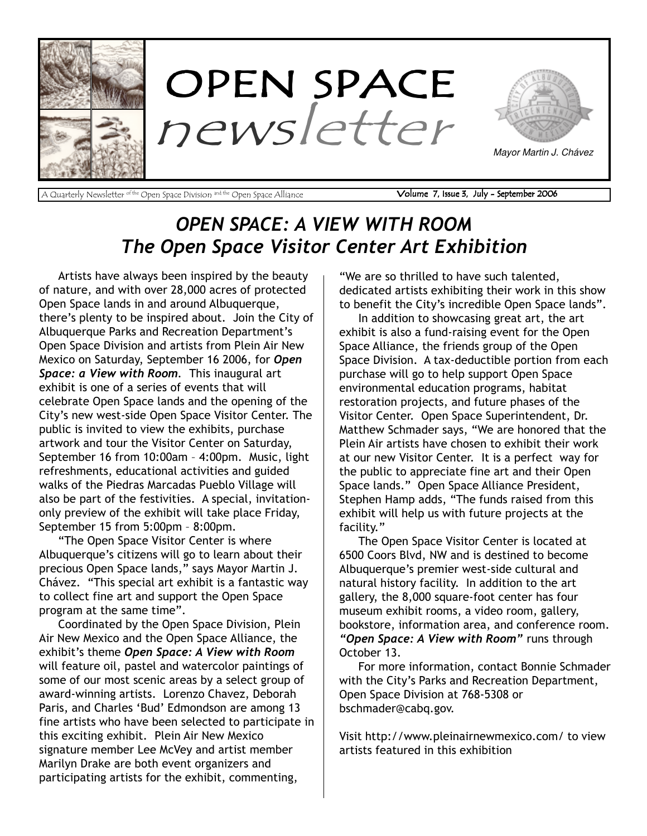

A Quarterly Newsletter <sup>of the</sup> Open Space Division <sup>and the</sup> Open Space Alliance **Volume 7, Issue 3, July - September 2006** 

## OPEN SPACE: A VIEW WITH ROOM The Open Space Visitor Center Art Exhibition

Artists have always been inspired by the beauty of nature, and with over 28,000 acres of protected Open Space lands in and around Albuquerque, there's plenty to be inspired about. Join the City of Albuquerque Parks and Recreation Department's Open Space Division and artists from Plein Air New Mexico on Saturday, September 16 2006, for Open Space: a View with Room. This inaugural art exhibit is one of a series of events that will celebrate Open Space lands and the opening of the Cityís new west-side Open Space Visitor Center. The public is invited to view the exhibits, purchase artwork and tour the Visitor Center on Saturday, September 16 from 10:00am - 4:00pm. Music, light refreshments, educational activities and guided walks of the Piedras Marcadas Pueblo Village will also be part of the festivities. A special, invitationonly preview of the exhibit will take place Friday, September 15 from  $5:00$ pm  $-8:00$ pm.

"The Open Space Visitor Center is where Albuquerque's citizens will go to learn about their precious Open Space lands," says Mayor Martin J. Chávez. "This special art exhibit is a fantastic way to collect fine art and support the Open Space program at the same time".

Coordinated by the Open Space Division, Plein Air New Mexico and the Open Space Alliance, the exhibit's theme Open Space: A View with Room will feature oil, pastel and watercolor paintings of some of our most scenic areas by a select group of award-winning artists. Lorenzo Chavez, Deborah Paris, and Charles 'Bud' Edmondson are among 13 fine artists who have been selected to participate in this exciting exhibit. Plein Air New Mexico signature member Lee McVey and artist member Marilyn Drake are both event organizers and participating artists for the exhibit, commenting,

"We are so thrilled to have such talented, dedicated artists exhibiting their work in this show to benefit the City's incredible Open Space lands".

In addition to showcasing great art, the art exhibit is also a fund-raising event for the Open Space Alliance, the friends group of the Open Space Division. A tax-deductible portion from each purchase will go to help support Open Space environmental education programs, habitat restoration projects, and future phases of the Visitor Center. Open Space Superintendent, Dr. Matthew Schmader says, "We are honored that the Plein Air artists have chosen to exhibit their work at our new Visitor Center. It is a perfect way for the public to appreciate fine art and their Open Space lands." Open Space Alliance President, Stephen Hamp adds, "The funds raised from this exhibit will help us with future projects at the facility."

The Open Space Visitor Center is located at 6500 Coors Blvd, NW and is destined to become Albuquerque's premier west-side cultural and natural history facility. In addition to the art gallery, the 8,000 square-foot center has four museum exhibit rooms, a video room, gallery, bookstore, information area, and conference room. "Open Space: A View with Room" runs through October 13.

For more information, contact Bonnie Schmader with the City's Parks and Recreation Department, Open Space Division at 768-5308 or bschmader@cabq.gov.

Visit http://www.pleinairnewmexico.com/ to view artists featured in this exhibition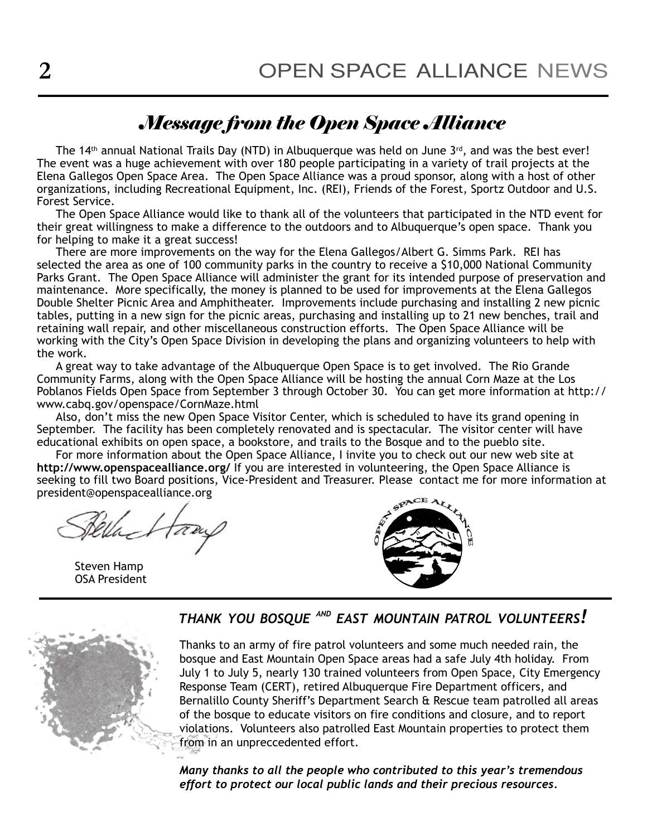### Message from the Open Space Alliance

The 14<sup>th</sup> annual National Trails Day (NTD) in Albuquerque was held on June  $3^{rd}$ , and was the best ever! The event was a huge achievement with over 180 people participating in a variety of trail projects at the Elena Gallegos Open Space Area. The Open Space Alliance was a proud sponsor, along with a host of other organizations, including Recreational Equipment, Inc. (REI), Friends of the Forest, Sportz Outdoor and U.S. Forest Service.

The Open Space Alliance would like to thank all of the volunteers that participated in the NTD event for their great willingness to make a difference to the outdoors and to Albuquerque's open space. Thank you for helping to make it a great success!

There are more improvements on the way for the Elena Gallegos/Albert G. Simms Park.† REI has selected the area as one of 100 community parks in the country to receive a \$10,000 National Community Parks Grant. The Open Space Alliance will administer the grant for its intended purpose of preservation and maintenance. More specifically, the money is planned to be used for improvements at the Elena Gallegos Double Shelter Picnic Area and Amphitheater. Improvements include purchasing and installing 2 new picnic tables, putting in a new sign for the picnic areas, purchasing and installing up to 21 new benches, trail and retaining wall repair, and other miscellaneous construction efforts. The Open Space Alliance will be working with the City's Open Space Division in developing the plans and organizing volunteers to help with the work.

A great way to take advantage of the Albuquerque Open Space is to get involved. The Rio Grande Community Farms, along with the Open Space Alliance will be hosting the annual Corn Maze at the Los Poblanos Fields Open Space from September 3 through October 30. You can get more information at http:// www.cabq.gov/openspace/CornMaze.html

Also, don't miss the new Open Space Visitor Center, which is scheduled to have its grand opening in September. The facility has been completely renovated and is spectacular. The visitor center will have educational exhibits on open space, a bookstore, and trails to the Bosque and to the pueblo site.

For more information about the Open Space Alliance, I invite you to check out our new web site at http://www.openspacealliance.org/ If you are interested in volunteering, the Open Space Alliance is seeking to fill two Board positions, Vice-President and Treasurer. Please contact me for more information at president@openspacealliance.org

Steven Hamp OSA President





THANK YOU BOSQUE AND EAST MOUNTAIN PATROL VOLUNTEERS!

Thanks to an army of fire patrol volunteers and some much needed rain, the bosque and East Mountain Open Space areas had a safe July 4th holiday. From July 1 to July 5, nearly 130 trained volunteers from Open Space, City Emergency Response Team (CERT), retired Albuquerque Fire Department officers, and Bernalillo County Sheriff's Department Search & Rescue team patrolled all areas of the bosque to educate visitors on fire conditions and closure, and to report violations. Volunteers also patrolled East Mountain properties to protect them from in an unpreccedented effort.

Many thanks to all the people who contributed to this year's tremendous effort to protect our local public lands and their precious resources.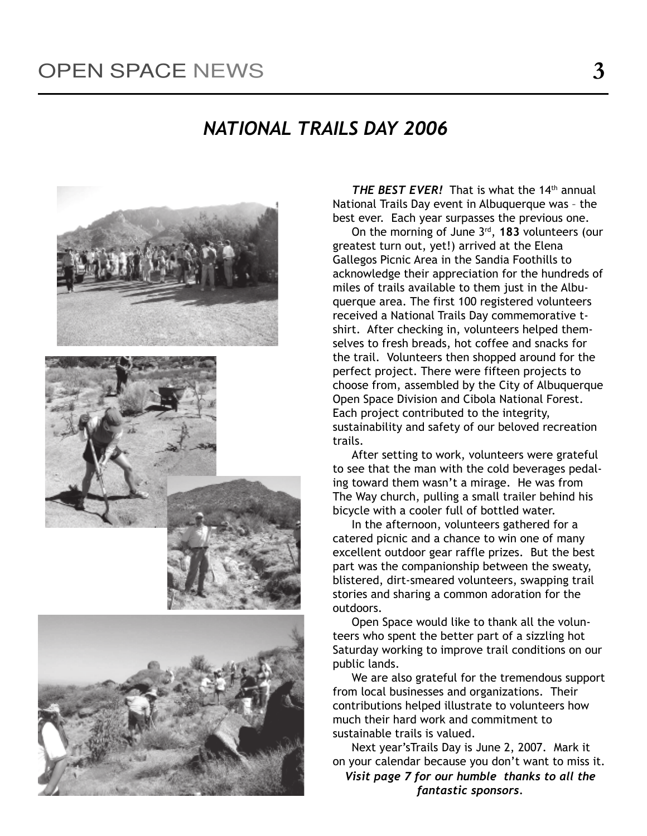#### NATIONAL TRAILS DAY 2006



THE BEST EVER! That is what the 14<sup>th</sup> annual National Trails Day event in Albuquerque was - the best ever. Each year surpasses the previous one.

On the morning of June  $3<sup>rd</sup>$ , 183 volunteers (our greatest turn out, yet!) arrived at the Elena Gallegos Picnic Area in the Sandia Foothills to acknowledge their appreciation for the hundreds of miles of trails available to them just in the Albuquerque area. The first 100 registered volunteers received a National Trails Day commemorative tshirt. After checking in, volunteers helped themselves to fresh breads, hot coffee and snacks for the trail. Volunteers then shopped around for the perfect project. There were fifteen projects to choose from, assembled by the City of Albuquerque Open Space Division and Cibola National Forest. Each project contributed to the integrity, sustainability and safety of our beloved recreation trails.

After setting to work, volunteers were grateful to see that the man with the cold beverages pedaling toward them wasn't a mirage. He was from The Way church, pulling a small trailer behind his bicycle with a cooler full of bottled water.

In the afternoon, volunteers gathered for a catered picnic and a chance to win one of many excellent outdoor gear raffle prizes. But the best part was the companionship between the sweaty, blistered, dirt-smeared volunteers, swapping trail stories and sharing a common adoration for the outdoors.

Open Space would like to thank all the volunteers who spent the better part of a sizzling hot Saturday working to improve trail conditions on our public lands.

We are also grateful for the tremendous support from local businesses and organizations. Their contributions helped illustrate to volunteers how much their hard work and commitment to sustainable trails is valued.

Next year's Trails Day is June 2, 2007. Mark it on your calendar because you don't want to miss it. Visit page 7 for our humble thanks to all the fantastic sponsors.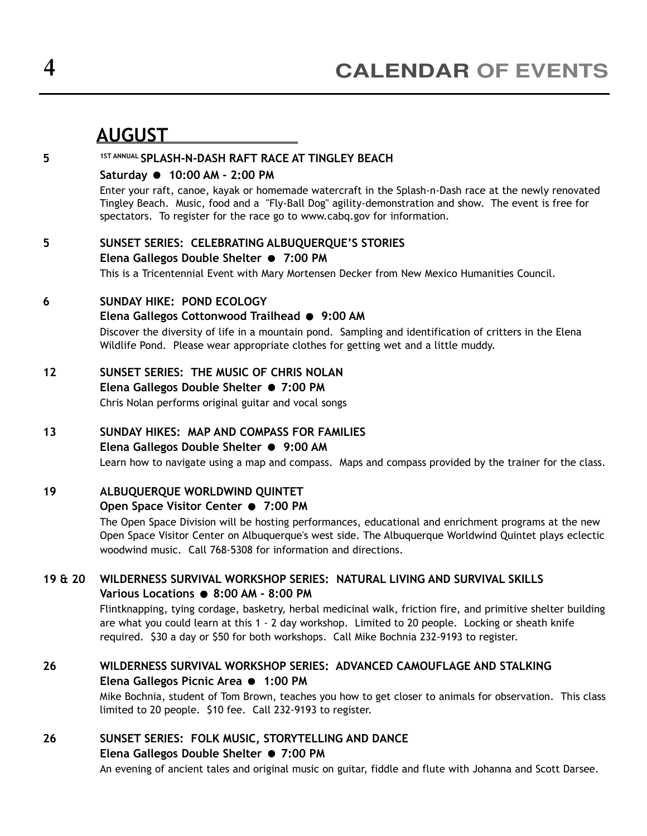|         | <b>AUGUST</b>                                                                                                                                                                                                                                                                                                                                                                                                                      |
|---------|------------------------------------------------------------------------------------------------------------------------------------------------------------------------------------------------------------------------------------------------------------------------------------------------------------------------------------------------------------------------------------------------------------------------------------|
| 5       | 1ST ANNUAL SPLASH-N-DASH RAFT RACE AT TINGLEY BEACH<br>Saturday ● 10:00 AM - 2:00 PM<br>Enter your raft, canoe, kayak or homemade watercraft in the Splash-n-Dash race at the newly renovated<br>Tingley Beach. Music, food and a "Fly-Ball Dog" agility-demonstration and show. The event is free for<br>spectators. To register for the race go to www.cabq.gov for information.                                                 |
| 5       | SUNSET SERIES: CELEBRATING ALBUQUERQUE'S STORIES<br>Elena Gallegos Double Shelter ● 7:00 PM<br>This is a Tricentennial Event with Mary Mortensen Decker from New Mexico Humanities Council.                                                                                                                                                                                                                                        |
| 6       | SUNDAY HIKE: POND ECOLOGY<br>Elena Gallegos Cottonwood Trailhead ● 9:00 AM<br>Discover the diversity of life in a mountain pond. Sampling and identification of critters in the Elena<br>Wildlife Pond. Please wear appropriate clothes for getting wet and a little muddy.                                                                                                                                                        |
| 12      | SUNSET SERIES: THE MUSIC OF CHRIS NOLAN<br>Elena Gallegos Double Shelter ● 7:00 PM<br>Chris Nolan performs original guitar and vocal songs                                                                                                                                                                                                                                                                                         |
| 13      | SUNDAY HIKES: MAP AND COMPASS FOR FAMILIES<br>Elena Gallegos Double Shelter ● 9:00 AM<br>Learn how to navigate using a map and compass. Maps and compass provided by the trainer for the class.                                                                                                                                                                                                                                    |
| 19      | ALBUQUERQUE WORLDWIND QUINTET<br>Open Space Visitor Center ● 7:00 PM<br>The Open Space Division will be hosting performances, educational and enrichment programs at the new<br>Open Space Visitor Center on Albuquerque's west side. The Albuquerque Worldwind Quintet plays eclectic<br>woodwind music. Call 768-5308 for information and directions.                                                                            |
| 19 & 20 | WILDERNESS SURVIVAL WORKSHOP SERIES: NATURAL LIVING AND SURVIVAL SKILLS<br>Various Locations @ 8:00 AM - 8:00 PM<br>Flintknapping, tying cordage, basketry, herbal medicinal walk, friction fire, and primitive shelter building<br>are what you could learn at this 1 - 2 day workshop. Limited to 20 people. Locking or sheath knife<br>required. \$30 a day or \$50 for both workshops. Call Mike Bochnia 232-9193 to register. |
| 26      | WILDERNESS SURVIVAL WORKSHOP SERIES: ADVANCED CAMOUFLAGE AND STALKING<br>Elena Gallegos Picnic Area ● 1:00 PM<br>Mike Bochnia, student of Tom Brown, teaches you how to get closer to animals for observation. This class<br>limited to 20 people. \$10 fee. Call 232-9193 to register.                                                                                                                                            |
| 26      | SUNSET SERIES: FOLK MUSIC, STORYTELLING AND DANCE<br>Elena Gallegos Double Shelter ● 7:00 PM<br>An evening of ancient tales and original music on guitar, fiddle and flute with Johanna and Scott Darsee.                                                                                                                                                                                                                          |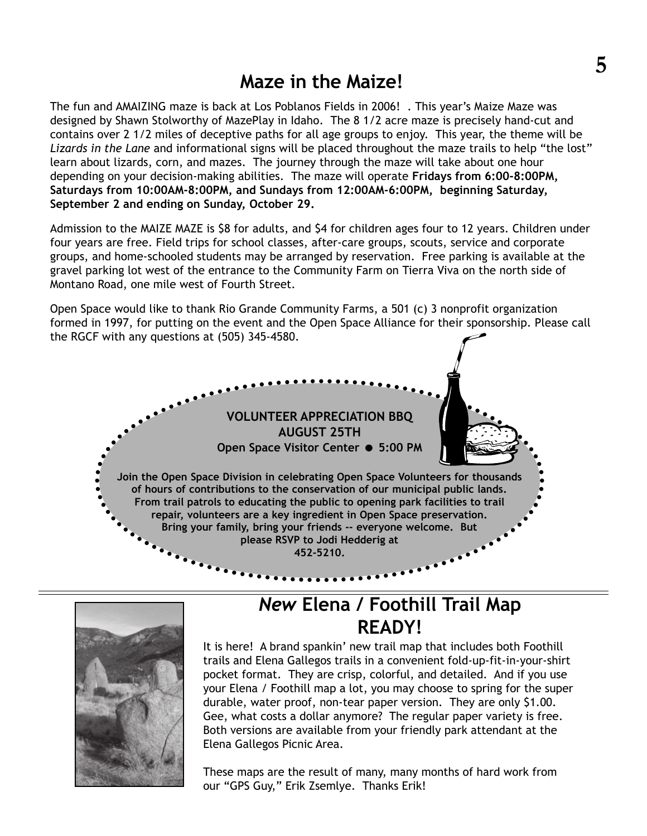#### Maze in the Maize!

The fun and AMAIZING maze is back at Los Poblanos Fields in 2006! . This year's Maize Maze was designed by Shawn Stolworthy of MazePlay in Idaho. The 8 1/2 acre maze is precisely hand-cut and contains over 2 1/2 miles of deceptive paths for all age groups to enjoy. This year, the theme will be Lizards in the Lane and informational signs will be placed throughout the maze trails to help "the lost" learn about lizards, corn, and mazes. The journey through the maze will take about one hour depending on your decision-making abilities. The maze will operate Fridays from 6:00-8:00PM, Saturdays from 10:00AM-8:00PM, and Sundays from 12:00AM-6:00PM, beginning Saturday, September 2 and ending on Sunday, October 29.

Admission to the MAIZE MAZE is \$8 for adults, and \$4 for children ages four to 12 years. Children under four years are free. Field trips for school classes, after-care groups, scouts, service and corporate groups, and home-schooled students may be arranged by reservation. Free parking is available at the gravel parking lot west of the entrance to the Community Farm on Tierra Viva on the north side of Montano Road, one mile west of Fourth Street.

Open Space would like to thank Rio Grande Community Farms, a 501 (c) 3 nonprofit organization formed in 1997, for putting on the event and the Open Space Alliance for their sponsorship. Please call the RGCF with any questions at (505) 345-4580.





## New Elena / Foothill Trail Map READY!

It is here! A brand spankin' new trail map that includes both Foothill trails and Elena Gallegos trails in a convenient fold-up-fit-in-your-shirt pocket format. They are crisp, colorful, and detailed. And if you use your Elena / Foothill map a lot, you may choose to spring for the super durable, water proof, non-tear paper version. They are only \$1.00. Gee, what costs a dollar anymore? The regular paper variety is free. Both versions are available from your friendly park attendant at the Elena Gallegos Picnic Area.

These maps are the result of many, many months of hard work from our "GPS Guy," Erik Zsemlye. Thanks Erik!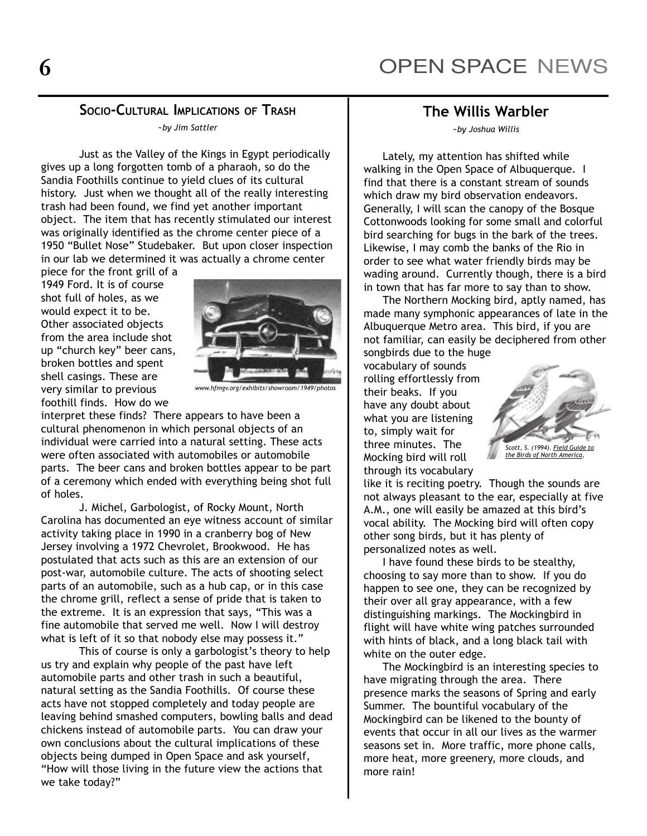#### SOCIO-CULTURAL IMPLICATIONS OF TRASH ~by Jim Sattler

Just as the Valley of the Kings in Egypt periodically gives up a long forgotten tomb of a pharaoh, so do the Sandia Foothills continue to yield clues of its cultural history. Just when we thought all of the really interesting trash had been found, we find yet another important object. The item that has recently stimulated our interest was originally identified as the chrome center piece of a 1950 "Bullet Nose" Studebaker. But upon closer inspection in our lab we determined it was actually a chrome center

piece for the front grill of a 1949 Ford. It is of course shot full of holes, as we would expect it to be. Other associated objects from the area include shot up "church key" beer cans, broken bottles and spent shell casings. These are very similar to previous foothill finds. How do we



www.hfmgy.org/exhibits/showroom/1949/photos

interpret these finds? There appears to have been a cultural phenomenon in which personal objects of an individual were carried into a natural setting. These acts were often associated with automobiles or automobile parts. The beer cans and broken bottles appear to be part of a ceremony which ended with everything being shot full of holes.

J. Michel, Garbologist, of Rocky Mount, North Carolina has documented an eye witness account of similar activity taking place in 1990 in a cranberry bog of New Jersey involving a 1972 Chevrolet, Brookwood. He has postulated that acts such as this are an extension of our post-war, automobile culture. The acts of shooting select parts of an automobile, such as a hub cap, or in this case the chrome grill, reflect a sense of pride that is taken to the extreme. It is an expression that says, "This was a fine automobile that served me well. Now I will destroy what is left of it so that nobody else may possess it."

This of course is only a garbologist's theory to help us try and explain why people of the past have left automobile parts and other trash in such a beautiful, natural setting as the Sandia Foothills. Of course these acts have not stopped completely and today people are leaving behind smashed computers, bowling balls and dead chickens instead of automobile parts. You can draw your own conclusions about the cultural implications of these objects being dumped in Open Space and ask yourself, "How will those living in the future view the actions that we take today?"

#### The Willis Warbler

~by Joshua Willis

Lately, my attention has shifted while walking in the Open Space of Albuquerque. I find that there is a constant stream of sounds which draw my bird observation endeavors. Generally, I will scan the canopy of the Bosque Cottonwoods looking for some small and colorful bird searching for bugs in the bark of the trees. Likewise, I may comb the banks of the Rio in order to see what water friendly birds may be wading around. Currently though, there is a bird in town that has far more to say than to show.

The Northern Mocking bird, aptly named, has made many symphonic appearances of late in the Albuquerque Metro area. This bird, if you are not familiar, can easily be deciphered from other songbirds due to the huge

vocabulary of sounds rolling effortlessly from their beaks. If you have any doubt about what you are listening to, simply wait for three minutes. The Mocking bird will roll through its vocabulary



the Birds of North America,

like it is reciting poetry. Though the sounds are not always pleasant to the ear, especially at five A.M., one will easily be amazed at this bird's vocal ability. The Mocking bird will often copy other song birds, but it has plenty of personalized notes as well.

I have found these birds to be stealthy, choosing to say more than to show. If you do happen to see one, they can be recognized by their over all gray appearance, with a few distinguishing markings. The Mockingbird in flight will have white wing patches surrounded with hints of black, and a long black tail with white on the outer edge.

The Mockingbird is an interesting species to have migrating through the area. There presence marks the seasons of Spring and early Summer. The bountiful vocabulary of the Mockingbird can be likened to the bounty of events that occur in all our lives as the warmer seasons set in. More traffic, more phone calls, more heat, more greenery, more clouds, and more rain!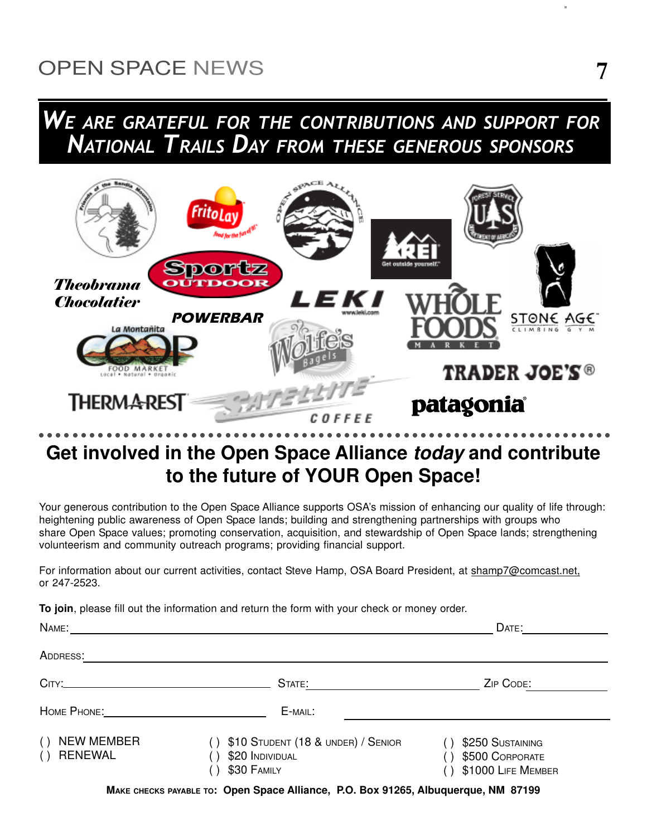# OPEN SPACE NEWS

# WE ARE GRATEFUL FOR THE CONTRIBUTIONS AND SUPPORT FOR NATIONAL TRAILS DAY FROM THESE GENEROUS SPONSORS



## **Get involved in the Open Space Alliance today and contribute to the future of YOUR Open Space!**

Your generous contribution to the Open Space Alliance supports OSA's mission of enhancing our quality of life through: heightening public awareness of Open Space lands; building and strengthening partnerships with groups who share Open Space values; promoting conservation, acquisition, and stewardship of Open Space lands; strengthening volunteerism and community outreach programs; providing financial support.

For information about our current activities, contact Steve Hamp, OSA Board President, at shamp7@comcast.net, or 247-2523.

**To join**, please fill out the information and return the form with your check or money order.

| NAME:                                                                                                                                                                                                                          |                                                                      | DATE:                                                     |  |
|--------------------------------------------------------------------------------------------------------------------------------------------------------------------------------------------------------------------------------|----------------------------------------------------------------------|-----------------------------------------------------------|--|
| ADDRESS:                                                                                                                                                                                                                       |                                                                      |                                                           |  |
|                                                                                                                                                                                                                                | STATE:                                                               | ZIP CODE:                                                 |  |
| HOME PHONE: The contract of the contract of the contract of the contract of the contract of the contract of the contract of the contract of the contract of the contract of the contract of the contract of the contract of th | E-MAIL:                                                              |                                                           |  |
| <b>NEW MEMBER</b><br>( )<br><b>RENEWAL</b><br>( )                                                                                                                                                                              | \$10 STUDENT (18 & UNDER) / SENIOR<br>\$20 INDIVIDUAL<br>\$30 FAMILY | \$250 SUSTAINING<br>\$500 CORPORATE<br>\$1000 LIFE MEMBER |  |
|                                                                                                                                                                                                                                |                                                                      |                                                           |  |

**MAKE CHECKS PAYABLE TO: Open Space Alliance, P.O. Box 91265, Albuquerque, NM 87199**